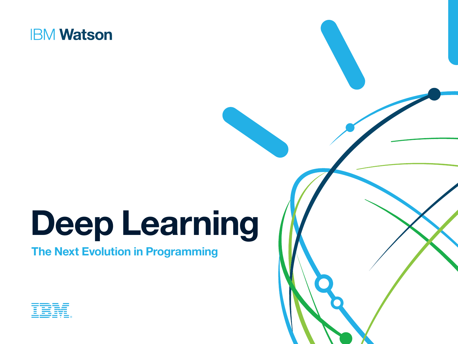

# **Deep Learning**

**The Next Evolution in Programming**



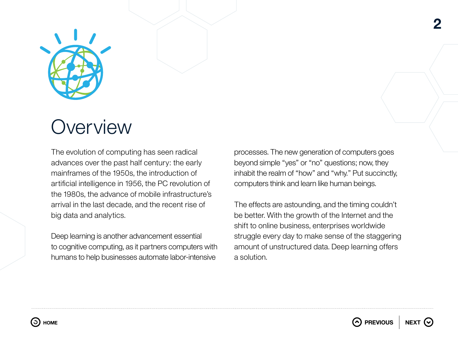

## **Overview**

The evolution of computing has seen radical advances over the past half century: the early mainframes of the 1950s, the introduction of artificial intelligence in 1956, the PC revolution of the 1980s, the advance of mobile infrastructure's arrival in the last decade, and the recent rise of big data and analytics.

Deep learning is another advancement essential to cognitive computing, as it partners computers with humans to help businesses automate labor-intensive

processes. The new generation of computers goes beyond simple "yes" or "no" questions; now, they inhabit the realm of "how" and "why." Put succinctly, computers think and learn like human beings.

The effects are astounding, and the timing couldn't be better. With the growth of the Internet and the shift to online business, enterprises worldwide struggle every day to make sense of the staggering amount of unstructured data. Deep learning offers a solution.





**2**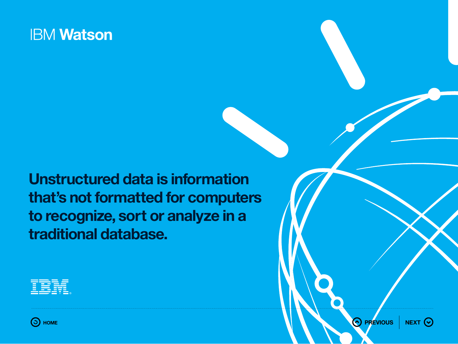**Unstructured data is information that's not formatted for computers to recognize, sort or analyze in a traditional database.** 





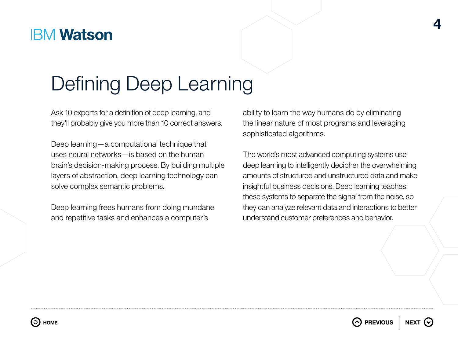# Defining Deep Learning

Ask 10 experts for a definition of deep learning, and they'll probably give you more than 10 correct answers.

Deep learning—a computational technique that uses neural networks—is based on the human brain's decision-making process. By building multiple layers of abstraction, deep learning technology can solve complex semantic problems.

Deep learning frees humans from doing mundane and repetitive tasks and enhances a computer's

ability to learn the way humans do by eliminating the linear nature of most programs and leveraging sophisticated algorithms.

**4**

The world's most advanced computing systems use deep learning to intelligently decipher the overwhelming amounts of structured and unstructured data and make insightful business decisions. Deep learning teaches these systems to separate the signal from the noise, so they can analyze relevant data and interactions to better understand customer preferences and behavior.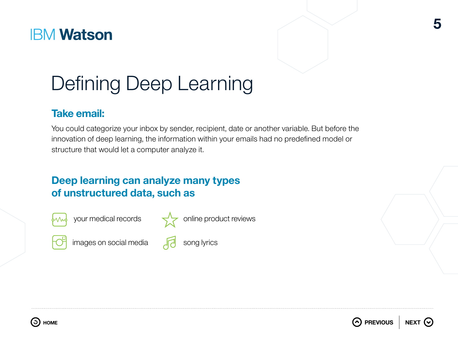

# Defining Deep Learning

#### **Take email:**

You could categorize your inbox by sender, recipient, date or another variable. But before the innovation of deep learning, the information within your emails had no predefined model or structure that would let a computer analyze it.

#### **Deep learning can analyze many types of unstructured data, such as**



your medical records



images on social media





song lyrics



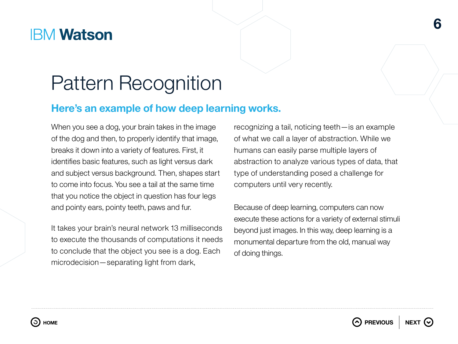## Pattern Recognition

#### **Here's an example of how deep learning works.**

When you see a dog, your brain takes in the image of the dog and then, to properly identify that image, breaks it down into a variety of features. First, it identifies basic features, such as light versus dark and subject versus background. Then, shapes start to come into focus. You see a tail at the same time that you notice the object in question has four legs and pointy ears, pointy teeth, paws and fur.

It takes your brain's neural network 13 milliseconds to execute the thousands of computations it needs to conclude that the object you see is a dog. Each microdecision—separating light from dark,

recognizing a tail, noticing teeth—is an example of what we call a layer of abstraction. While we humans can easily parse multiple layers of abstraction to analyze various types of data, that type of understanding posed a challenge for computers until very recently.

**6**

Because of deep learning, computers can now execute these actions for a variety of external stimuli beyond just images. In this way, deep learning is a monumental departure from the old, manual way of doing things.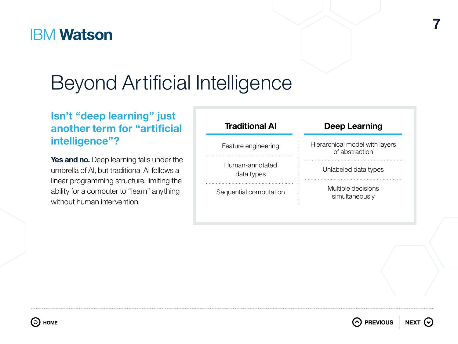# Beyond Artificial Intelligence

#### **Isn't "deep learning" just another term for "artificial intelligence"?**

Yes and no. Deep learning falls under the umbrella of AI, but traditional AI follows a linear programming structure, limiting the ability for a computer to "learn" anything without human intervention.

| <b>Traditional AI</b>         | <b>Deep Learning</b>                             |
|-------------------------------|--------------------------------------------------|
| Feature engineering           | Hierarchical model with layers<br>of abstraction |
| Human-annotated<br>data types | Unlabeled data types                             |
| Sequential computation        | Multiple decisions<br>simultaneously             |

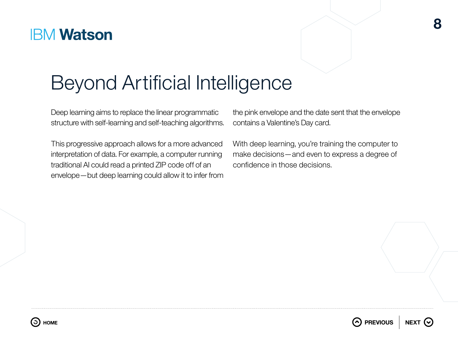# Beyond Artificial Intelligence

Deep learning aims to replace the linear programmatic structure with self-learning and self-teaching algorithms.

This progressive approach allows for a more advanced interpretation of data. For example, a computer running traditional AI could read a printed ZIP code off of an envelope—but deep learning could allow it to infer from the pink envelope and the date sent that the envelope contains a Valentine's Day card.

With deep learning, you're training the computer to make decisions—and even to express a degree of confidence in those decisions.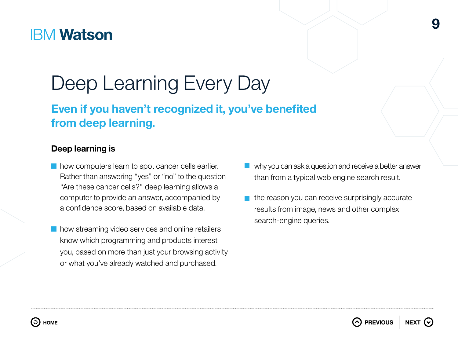# Deep Learning Every Day

### **Even if you haven't recognized it, you've benefited from deep learning.**

#### **Deep learning is**

- **how computers learn to spot cancer cells earlier.** Rather than answering "yes" or "no" to the question "Are these cancer cells?" deep learning allows a computer to provide an answer, accompanied by a confidence score, based on available data.
- how streaming video services and online retailers know which programming and products interest you, based on more than just your browsing activity or what you've already watched and purchased.

why you can ask a question and receive a better answer than from a typical web engine search result.

**9**

 $\blacksquare$  the reason you can receive surprisingly accurate results from image, news and other complex search-engine queries.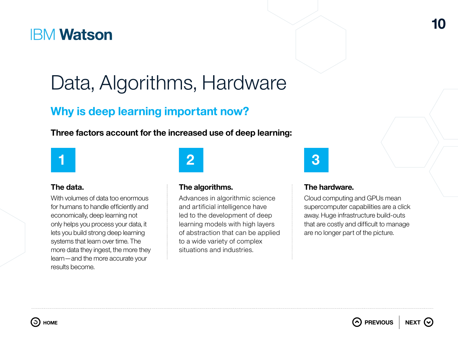# Data, Algorithms, Hardware

#### **Why is deep learning important now?**

**Three factors account for the increased use of deep learning:**



#### **The data.**

With volumes of data too enormous for humans to handle efficiently and economically, deep learning not only helps you process your data, it lets you build strong deep learning systems that learn over time. The more data they ingest, the more they learn—and the more accurate your results become.

#### **The algorithms.**

Advances in algorithmic science and artificial intelligence have led to the development of deep learning models with high layers of abstraction that can be applied to a wide variety of complex situations and industries.

#### **The hardware.**

Cloud computing and GPUs mean supercomputer capabilities are a click away. Huge infrastructure build-outs that are costly and difficult to manage are no longer part of the picture.

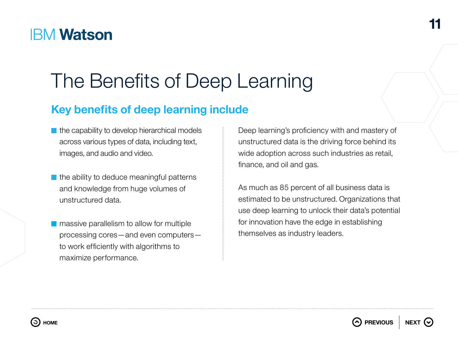# The Benefits of Deep Learning

### **Key benefits of deep learning include**

- $\blacksquare$  the capability to develop hierarchical models across various types of data, including text, images, and audio and video.
- $\blacksquare$  the ability to deduce meaningful patterns and knowledge from huge volumes of unstructured data.
- **n** massive parallelism to allow for multiple processing cores—and even computers to work efficiently with algorithms to maximize performance.

Deep learning's proficiency with and mastery of unstructured data is the driving force behind its wide adoption across such industries as retail, finance, and oil and gas.

As much as 85 percent of all business data is estimated to be unstructured. Organizations that use deep learning to unlock their data's potential for innovation have the edge in establishing themselves as industry leaders.

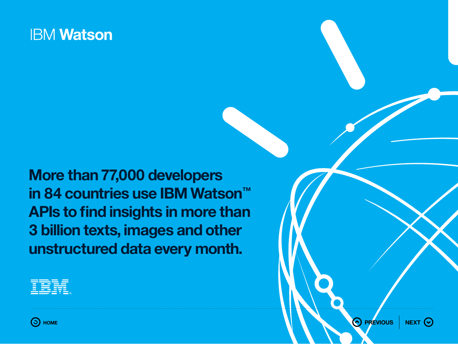**More than 77,000 developers in 84 countries use IBM Watson™ APIs to find insights in more than 3 billion texts, images and other unstructured data every month.**



**Example 19** The contract of the contract of the contract of the contract of  $\Theta$  in  $\Theta$  in  $\Theta$  in  $\Theta$  in  $\Theta$